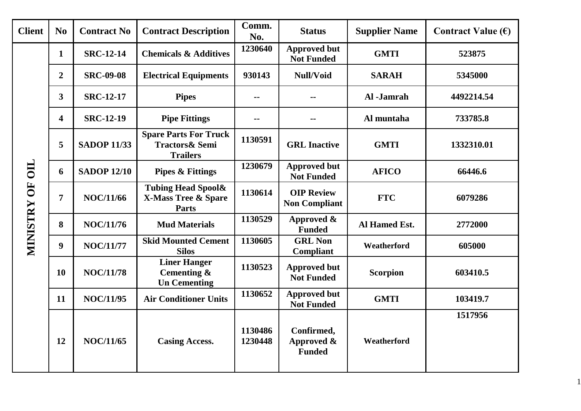| <b>Client</b>   | N <sub>0</sub>          | <b>Contract No</b> | <b>Contract Description</b>                                                     | Comm.<br>No.       | <b>Status</b>                             | <b>Supplier Name</b> | Contract Value $(\epsilon)$ |
|-----------------|-------------------------|--------------------|---------------------------------------------------------------------------------|--------------------|-------------------------------------------|----------------------|-----------------------------|
|                 | $\mathbf{1}$            | <b>SRC-12-14</b>   | <b>Chemicals &amp; Additives</b>                                                | 1230640            | <b>Approved but</b><br><b>Not Funded</b>  | <b>GMTI</b>          | 523875                      |
|                 | $\overline{2}$          | <b>SRC-09-08</b>   | <b>Electrical Equipments</b>                                                    | 930143             | Null/Void                                 | <b>SARAH</b>         | 5345000                     |
|                 | $\overline{\mathbf{3}}$ | <b>SRC-12-17</b>   | <b>Pipes</b>                                                                    | $\sim$ $\sim$      | --                                        | Al-Jamrah            | 4492214.54                  |
|                 | $\overline{\mathbf{4}}$ | <b>SRC-12-19</b>   | <b>Pipe Fittings</b>                                                            |                    |                                           | Al muntaha           | 733785.8                    |
|                 | 5                       | <b>SADOP 11/33</b> | <b>Spare Parts For Truck</b><br><b>Tractors&amp; Semi</b><br><b>Trailers</b>    | 1130591            | <b>GRL</b> Inactive                       | <b>GMTI</b>          | 1332310.01                  |
| $\mathbf{H}$    | 6                       | <b>SADOP 12/10</b> | <b>Pipes &amp; Fittings</b>                                                     | 1230679            | <b>Approved but</b><br><b>Not Funded</b>  | <b>AFICO</b>         | 66446.6                     |
| ÖF              | 7                       | <b>NOC/11/66</b>   | <b>Tubing Head Spool&amp;</b><br><b>X-Mass Tree &amp; Spare</b><br><b>Parts</b> | 1130614            | <b>OIP Review</b><br><b>Non Compliant</b> | <b>FTC</b>           | 6079286                     |
|                 | 8                       | <b>NOC/11/76</b>   | <b>Mud Materials</b>                                                            | 1130529            | Approved &<br><b>Funded</b>               | Al Hamed Est.        | 2772000                     |
| <b>MINISTRY</b> | $\boldsymbol{9}$        | <b>NOC/11/77</b>   | <b>Skid Mounted Cement</b><br><b>Silos</b>                                      | 1130605            | <b>GRL Non</b><br>Compliant               | Weatherford          | 605000                      |
|                 | <b>10</b>               | <b>NOC/11/78</b>   | <b>Liner Hanger</b><br>Cementing $\&$<br><b>Un Cementing</b>                    | 1130523            | <b>Approved but</b><br><b>Not Funded</b>  | <b>Scorpion</b>      | 603410.5                    |
|                 | 11                      | <b>NOC/11/95</b>   | <b>Air Conditioner Units</b>                                                    | 1130652            | <b>Approved but</b><br><b>Not Funded</b>  | <b>GMTI</b>          | 103419.7                    |
|                 | 12                      | <b>NOC/11/65</b>   | <b>Casing Access.</b>                                                           | 1130486<br>1230448 | Confirmed,<br>Approved &<br><b>Funded</b> | Weatherford          | 1517956                     |

1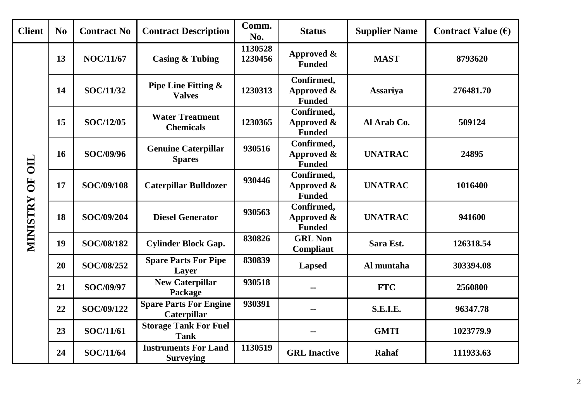| <b>Client</b>   | N <sub>o</sub> | <b>Contract No</b> | <b>Contract Description</b>                         | Comm.<br>No.       | <b>Status</b>                                | <b>Supplier Name</b> | Contract Value $(\epsilon)$ |
|-----------------|----------------|--------------------|-----------------------------------------------------|--------------------|----------------------------------------------|----------------------|-----------------------------|
|                 | 13             | <b>NOC/11/67</b>   | <b>Casing &amp; Tubing</b>                          | 1130528<br>1230456 | Approved &<br><b>Funded</b>                  | <b>MAST</b>          | 8793620                     |
|                 | 14             | <b>SOC/11/32</b>   | <b>Pipe Line Fitting &amp;</b><br><b>Valves</b>     | 1230313            | Confirmed,<br>Approved &<br><b>Funded</b>    | <b>Assariya</b>      | 276481.70                   |
|                 | 15             | <b>SOC/12/05</b>   | <b>Water Treatment</b><br><b>Chemicals</b>          | 1230365            | Confirmed,<br>Approved &<br><b>Funded</b>    | Al Arab Co.          | 509124                      |
| OIL             | 16             | SOC/09/96          | <b>Genuine Caterpillar</b><br><b>Spares</b>         | 930516             | Confirmed,<br>Approved $\&$<br><b>Funded</b> | <b>UNATRAC</b>       | 24895                       |
| OF <sub>1</sub> | 17             | SOC/09/108         | <b>Caterpillar Bulldozer</b>                        | 930446             | Confirmed,<br>Approved $\&$<br><b>Funded</b> | <b>UNATRAC</b>       | 1016400                     |
| <b>MINISTRY</b> | 18             | SOC/09/204         | <b>Diesel Generator</b>                             | 930563             | Confirmed,<br>Approved &<br><b>Funded</b>    | <b>UNATRAC</b>       | 941600                      |
|                 | 19             | SOC/08/182         | <b>Cylinder Block Gap.</b>                          | 830826             | <b>GRL Non</b><br><b>Compliant</b>           | Sara Est.            | 126318.54                   |
|                 | 20             | SOC/08/252         | <b>Spare Parts For Pipe</b><br>Layer                | 830839             | <b>Lapsed</b>                                | Al muntaha           | 303394.08                   |
|                 | 21             | <b>SOC/09/97</b>   | <b>New Caterpillar</b><br>Package                   | 930518             |                                              | <b>FTC</b>           | 2560800                     |
|                 | 22             | SOC/09/122         | <b>Spare Parts For Engine</b><br><b>Caterpillar</b> | 930391             | --                                           | <b>S.E.I.E.</b>      | 96347.78                    |
|                 | 23             | SOC/11/61          | <b>Storage Tank For Fuel</b><br><b>Tank</b>         |                    | --                                           | <b>GMTI</b>          | 1023779.9                   |
|                 | 24             | <b>SOC/11/64</b>   | <b>Instruments For Land</b><br><b>Surveying</b>     | 1130519            | <b>GRL</b> Inactive                          | <b>Rahaf</b>         | 111933.63                   |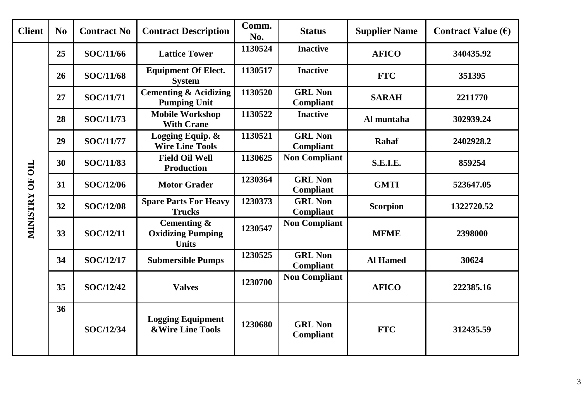| <b>Client</b>   | N <sub>0</sub> | <b>Contract No</b> | <b>Contract Description</b>                                | Comm.<br>No. | <b>Status</b>                      | <b>Supplier Name</b> | Contract Value $(\epsilon)$ |
|-----------------|----------------|--------------------|------------------------------------------------------------|--------------|------------------------------------|----------------------|-----------------------------|
|                 | 25             | SOC/11/66          | <b>Lattice Tower</b>                                       | 1130524      | <b>Inactive</b>                    | <b>AFICO</b>         | 340435.92                   |
|                 | 26             | <b>SOC/11/68</b>   | <b>Equipment Of Elect.</b><br><b>System</b>                | 1130517      | <b>Inactive</b>                    | <b>FTC</b>           | 351395                      |
|                 | 27             | <b>SOC/11/71</b>   | <b>Cementing &amp; Acidizing</b><br><b>Pumping Unit</b>    | 1130520      | <b>GRL Non</b><br><b>Compliant</b> | <b>SARAH</b>         | 2211770                     |
|                 | 28             | SOC/11/73          | <b>Mobile Workshop</b><br><b>With Crane</b>                | 1130522      | <b>Inactive</b>                    | Al muntaha           | 302939.24                   |
|                 | 29             | <b>SOC/11/77</b>   | Logging Equip. &<br><b>Wire Line Tools</b>                 | 1130521      | <b>GRL Non</b><br>Compliant        | <b>Rahaf</b>         | 2402928.2                   |
|                 | 30             | <b>SOC/11/83</b>   | <b>Field Oil Well</b><br><b>Production</b>                 | 1130625      | <b>Non Compliant</b>               | <b>S.E.I.E.</b>      | 859254                      |
| MINISTRY OF OIL | 31             | SOC/12/06          | <b>Motor Grader</b>                                        | 1230364      | <b>GRL Non</b><br>Compliant        | <b>GMTI</b>          | 523647.05                   |
|                 | 32             | <b>SOC/12/08</b>   | <b>Spare Parts For Heavy</b><br><b>Trucks</b>              | 1230373      | <b>GRL Non</b><br>Compliant        | <b>Scorpion</b>      | 1322720.52                  |
|                 | 33             | <b>SOC/12/11</b>   | Cementing $\&$<br><b>Oxidizing Pumping</b><br><b>Units</b> | 1230547      | <b>Non Compliant</b>               | <b>MFME</b>          | 2398000                     |
|                 | 34             | <b>SOC/12/17</b>   | <b>Submersible Pumps</b>                                   | 1230525      | <b>GRL Non</b><br>Compliant        | <b>Al Hamed</b>      | 30624                       |
|                 | 35             | <b>SOC/12/42</b>   | <b>Valves</b>                                              | 1230700      | <b>Non Compliant</b>               | <b>AFICO</b>         | 222385.16                   |
|                 | 36             | SOC/12/34          | <b>Logging Equipment</b><br><b>&amp;Wire Line Tools</b>    | 1230680      | <b>GRL Non</b><br><b>Compliant</b> | <b>FTC</b>           | 312435.59                   |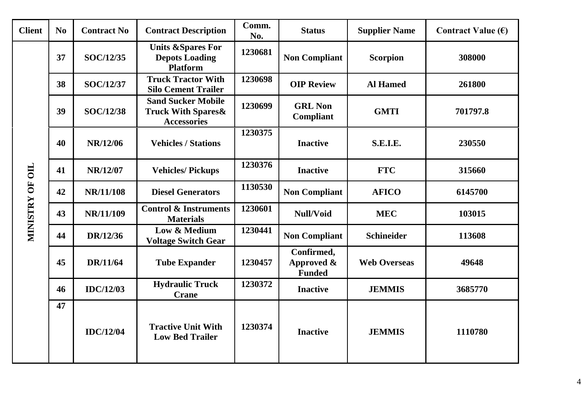| <b>Client</b>   | N <sub>0</sub> | <b>Contract No</b> | <b>Contract Description</b>                                                       | Comm.<br>No. | <b>Status</b>                             | <b>Supplier Name</b> | Contract Value $(\epsilon)$ |
|-----------------|----------------|--------------------|-----------------------------------------------------------------------------------|--------------|-------------------------------------------|----------------------|-----------------------------|
|                 | 37             | <b>SOC/12/35</b>   | <b>Units &amp;Spares For</b><br><b>Depots Loading</b><br><b>Platform</b>          | 1230681      | <b>Non Compliant</b>                      | <b>Scorpion</b>      | 308000                      |
|                 | 38             | <b>SOC/12/37</b>   | <b>Truck Tractor With</b><br><b>Silo Cement Trailer</b>                           | 1230698      | <b>OIP Review</b>                         | <b>Al Hamed</b>      | 261800                      |
|                 | 39             | <b>SOC/12/38</b>   | <b>Sand Sucker Mobile</b><br><b>Truck With Spares &amp;</b><br><b>Accessories</b> | 1230699      | <b>GRL Non</b><br><b>Compliant</b>        | <b>GMTI</b>          | 701797.8                    |
|                 | 40             | NR/12/06           | <b>Vehicles / Stations</b>                                                        | 1230375      | <b>Inactive</b>                           | <b>S.E.I.E.</b>      | 230550                      |
|                 | 41             | NR/12/07           | <b>Vehicles/Pickups</b>                                                           | 1230376      | <b>Inactive</b>                           | <b>FTC</b>           | 315660                      |
| MINISTRY OF OIL | 42             | NR/11/108          | <b>Diesel Generators</b>                                                          | 1130530      | <b>Non Compliant</b>                      | <b>AFICO</b>         | 6145700                     |
|                 | 43             | NR/11/109          | <b>Control &amp; Instruments</b><br><b>Materials</b>                              | 1230601      | Null/Void                                 | <b>MEC</b>           | 103015                      |
|                 | 44             | DR/12/36           | Low & Medium<br><b>Voltage Switch Gear</b>                                        | 1230441      | <b>Non Compliant</b>                      | <b>Schineider</b>    | 113608                      |
|                 | 45             | DR/11/64           | <b>Tube Expander</b>                                                              | 1230457      | Confirmed,<br>Approved &<br><b>Funded</b> | <b>Web Overseas</b>  | 49648                       |
|                 | 46             | <b>IDC/12/03</b>   | <b>Hydraulic Truck</b><br><b>Crane</b>                                            | 1230372      | <b>Inactive</b>                           | <b>JEMMIS</b>        | 3685770                     |
|                 | 47             | <b>IDC/12/04</b>   | <b>Tractive Unit With</b><br><b>Low Bed Trailer</b>                               | 1230374      | <b>Inactive</b>                           | <b>JEMMIS</b>        | 1110780                     |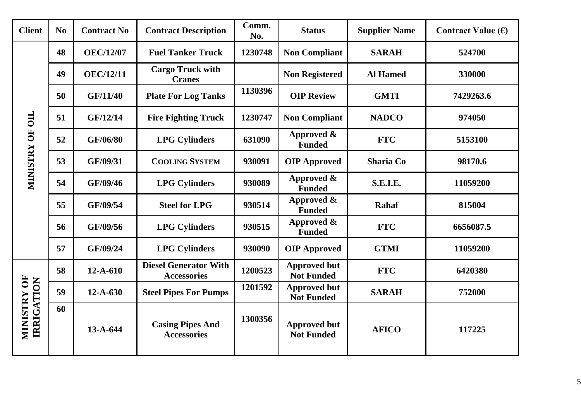| <b>Client</b>                    | N <sub>0</sub> | <b>Contract No</b> | <b>Contract Description</b>                        | Comm.<br>No. | <b>Status</b>                            | <b>Supplier Name</b> | Contract Value $(\epsilon)$ |
|----------------------------------|----------------|--------------------|----------------------------------------------------|--------------|------------------------------------------|----------------------|-----------------------------|
|                                  | 48             | <b>OEC/12/07</b>   | <b>Fuel Tanker Truck</b>                           | 1230748      | <b>Non Compliant</b>                     | <b>SARAH</b>         | 524700                      |
|                                  | 49             | <b>OEC/12/11</b>   | <b>Cargo Truck with</b><br><b>Cranes</b>           |              | <b>Non Registered</b>                    | <b>Al Hamed</b>      | 330000                      |
|                                  | 50             | GF/11/40           | <b>Plate For Log Tanks</b>                         | 1130396      | <b>OIP Review</b>                        | <b>GMTI</b>          | 7429263.6                   |
| $\overline{\text{III}}$          | 51             | GF/12/14           | <b>Fire Fighting Truck</b>                         | 1230747      | <b>Non Compliant</b>                     | <b>NADCO</b>         | 974050                      |
| $\overline{\mathbf{5}}$          | 52             | GF/06/80           | <b>LPG Cylinders</b>                               | 631090       | Approved &<br><b>Funded</b>              | <b>FTC</b>           | 5153100                     |
| <b>MINISTRY</b>                  | 53             | GF/09/31           | <b>COOLING SYSTEM</b>                              | 930091       | <b>OIP Approved</b>                      | <b>Sharia Co</b>     | 98170.6                     |
|                                  | 54             | GF/09/46           | <b>LPG Cylinders</b>                               | 930089       | Approved &<br><b>Funded</b>              | <b>S.E.I.E.</b>      | 11059200                    |
|                                  | 55             | GF/09/54           | <b>Steel for LPG</b>                               | 930514       | Approved &<br><b>Funded</b>              | <b>Rahaf</b>         | 815004                      |
|                                  | 56             | GF/09/56           | <b>LPG Cylinders</b>                               | 930515       | Approved &<br><b>Funded</b>              | <b>FTC</b>           | 6656087.5                   |
|                                  | 57             | GF/09/24           | <b>LPG Cylinders</b>                               | 930090       | <b>OIP Approved</b>                      | <b>GTMI</b>          | 11059200                    |
|                                  | 58             | $12-A-610$         | <b>Diesel Generator With</b><br><b>Accessories</b> | 1200523      | <b>Approved but</b><br><b>Not Funded</b> | <b>FTC</b>           | 6420380                     |
| MINISTRY OF<br><b>IRRIGATION</b> | 59             | $12 - A - 630$     | <b>Steel Pipes For Pumps</b>                       | 1201592      | <b>Approved but</b><br><b>Not Funded</b> | <b>SARAH</b>         | 752000                      |
|                                  | 60             | $13-A-644$         | <b>Casing Pipes And</b><br><b>Accessories</b>      | 1300356      | <b>Approved but</b><br><b>Not Funded</b> | <b>AFICO</b>         | 117225                      |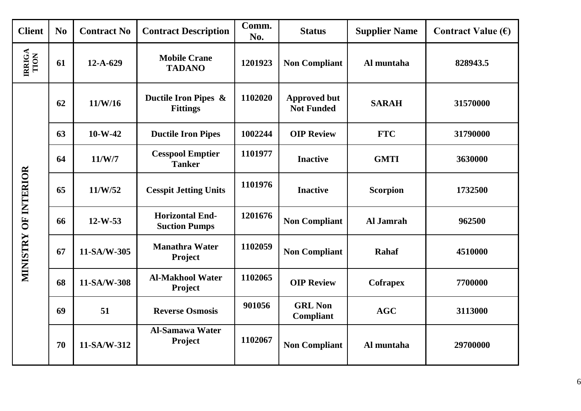| <b>Client</b>         | N <sub>0</sub> | <b>Contract No</b> | <b>Contract Description</b>                    | Comm.<br>No. | <b>Status</b>                            | <b>Supplier Name</b> | Contract Value $(\epsilon)$ |
|-----------------------|----------------|--------------------|------------------------------------------------|--------------|------------------------------------------|----------------------|-----------------------------|
| <b>IRRIGA</b><br>TION | 61             | $12-A-629$         | <b>Mobile Crane</b><br><b>TADANO</b>           | 1201923      | <b>Non Compliant</b>                     | Al muntaha           | 828943.5                    |
|                       | 62             | 11/W/16            | Ductile Iron Pipes &<br><b>Fittings</b>        | 1102020      | <b>Approved but</b><br><b>Not Funded</b> | <b>SARAH</b>         | 31570000                    |
|                       | 63             | $10-W-42$          | <b>Ductile Iron Pipes</b>                      | 1002244      | <b>OIP Review</b>                        | <b>FTC</b>           | 31790000                    |
|                       | 64             | 11/W/7             | <b>Cesspool Emptier</b><br><b>Tanker</b>       | 1101977      | <b>Inactive</b>                          | <b>GMTI</b>          | 3630000                     |
| MINISTRY OF INTERIOR  | 65             | 11/W/52            | <b>Cesspit Jetting Units</b>                   | 1101976      | <b>Inactive</b>                          | <b>Scorpion</b>      | 1732500                     |
|                       | 66             | $12-W-53$          | <b>Horizontal End-</b><br><b>Suction Pumps</b> | 1201676      | <b>Non Compliant</b>                     | Al Jamrah            | 962500                      |
|                       | 67             | 11-SA/W-305        | <b>Manathra Water</b><br>Project               | 1102059      | <b>Non Compliant</b>                     | <b>Rahaf</b>         | 4510000                     |
|                       | 68             | 11-SA/W-308        | <b>Al-Makhool Water</b><br>Project             | 1102065      | <b>OIP Review</b>                        | <b>Cofrapex</b>      | 7700000                     |
|                       | 69             | 51                 | <b>Reverse Osmosis</b>                         | 901056       | <b>GRL Non</b><br>Compliant              | <b>AGC</b>           | 3113000                     |
|                       | 70             | 11-SA/W-312        | <b>Al-Samawa Water</b><br>Project              | 1102067      | <b>Non Compliant</b>                     | Al muntaha           | 29700000                    |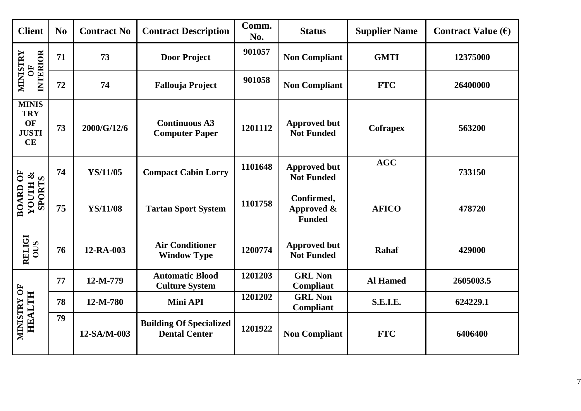| <b>Client</b>                                                 | N <sub>0</sub> | <b>Contract No</b> | <b>Contract Description</b>                            | Comm.<br>No. | <b>Status</b>                             | <b>Supplier Name</b> | Contract Value $(\epsilon)$ |
|---------------------------------------------------------------|----------------|--------------------|--------------------------------------------------------|--------------|-------------------------------------------|----------------------|-----------------------------|
| <b>INTERIOR</b><br><b>MINISTRY</b><br>$\overline{\mathbf{C}}$ | 71             | 73                 | <b>Door Project</b>                                    | 901057       | <b>Non Compliant</b>                      | <b>GMTI</b>          | 12375000                    |
|                                                               | 72             | 74                 | <b>Fallouja Project</b>                                | 901058       | <b>Non Compliant</b>                      | <b>FTC</b>           | 26400000                    |
| <b>MINIS</b><br><b>TRY</b><br>OF<br><b>JUSTI</b><br>CE        | 73             | 2000/G/12/6        | <b>Continuous A3</b><br><b>Computer Paper</b>          | 1201112      | <b>Approved but</b><br><b>Not Funded</b>  | <b>Cofrapex</b>      | 563200                      |
|                                                               | 74             | YS/11/05           | <b>Compact Cabin Lorry</b>                             | 1101648      | <b>Approved but</b><br><b>Not Funded</b>  | AGC                  | 733150                      |
| <b>BOARD OF</b><br><b>YOUTH &amp;<br/>SPORTS</b>              | 75             | <b>YS/11/08</b>    | <b>Tartan Sport System</b>                             | 1101758      | Confirmed,<br>Approved &<br><b>Funded</b> | <b>AFICO</b>         | 478720                      |
| <b>RELIGI</b><br>OUS                                          | 76             | 12-RA-003          | <b>Air Conditioner</b><br><b>Window Type</b>           | 1200774      | <b>Approved but</b><br><b>Not Funded</b>  | Rahaf                | 429000                      |
|                                                               | 77             | 12-M-779           | <b>Automatic Blood</b><br><b>Culture System</b>        | 1201203      | <b>GRL Non</b><br><b>Compliant</b>        | <b>Al Hamed</b>      | 2605003.5                   |
| <b>HEALTH</b>                                                 | 78             | 12-M-780           | Mini API                                               | 1201202      | <b>GRL Non</b><br>Compliant               | S.E.I.E.             | 624229.1                    |
| MINISTRY OF                                                   | 79             | 12-SA/M-003        | <b>Building Of Specialized</b><br><b>Dental Center</b> | 1201922      | <b>Non Compliant</b>                      | <b>FTC</b>           | 6406400                     |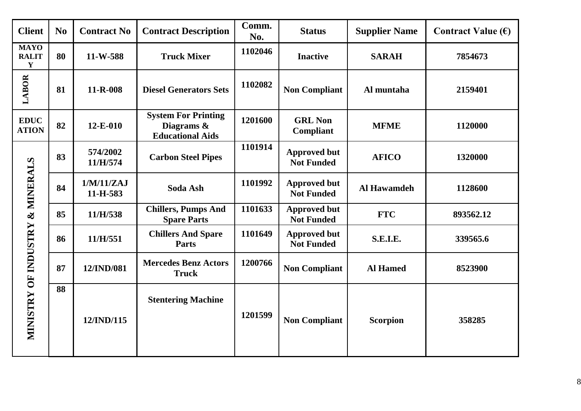| <b>Client</b>                              | N <sub>0</sub> | <b>Contract No</b>     | <b>Contract Description</b>                                         | Comm.<br>No. | <b>Status</b>                            | <b>Supplier Name</b> | Contract Value $(\epsilon)$ |
|--------------------------------------------|----------------|------------------------|---------------------------------------------------------------------|--------------|------------------------------------------|----------------------|-----------------------------|
| <b>MAYO</b><br><b>RALIT</b><br>$\mathbf Y$ | 80             | 11-W-588               | <b>Truck Mixer</b>                                                  | 1102046      | <b>Inactive</b>                          | <b>SARAH</b>         | 7854673                     |
| LABOR                                      | 81             | $11 - R - 008$         | <b>Diesel Generators Sets</b>                                       | 1102082      | <b>Non Compliant</b>                     | Al muntaha           | 2159401                     |
| <b>EDUC</b><br><b>ATION</b>                | 82             | $12-E-010$             | <b>System For Printing</b><br>Diagrams &<br><b>Educational Aids</b> | 1201600      | <b>GRL Non</b><br><b>Compliant</b>       | <b>MFME</b>          | 1120000                     |
|                                            | 83             | 574/2002<br>11/H/574   | <b>Carbon Steel Pipes</b>                                           | 1101914      | <b>Approved but</b><br><b>Not Funded</b> | <b>AFICO</b>         | 1320000                     |
| & MINERALS                                 | 84             | 1/M/11/ZAJ<br>11-H-583 | Soda Ash                                                            | 1101992      | <b>Approved but</b><br><b>Not Funded</b> | Al Hawamdeh          | 1128600                     |
|                                            | 85             | 11/H/538               | <b>Chillers, Pumps And</b><br><b>Spare Parts</b>                    | 1101633      | <b>Approved but</b><br><b>Not Funded</b> | <b>FTC</b>           | 893562.12                   |
|                                            | 86             | 11/H/551               | <b>Chillers And Spare</b><br><b>Parts</b>                           | 1101649      | <b>Approved but</b><br><b>Not Funded</b> | <b>S.E.I.E.</b>      | 339565.6                    |
|                                            | 87             | 12/IND/081             | <b>Mercedes Benz Actors</b><br><b>Truck</b>                         | 1200766      | <b>Non Compliant</b>                     | <b>Al Hamed</b>      | 8523900                     |
| MINISTRY OF INDUSTRY                       | 88             | 12/IND/115             | <b>Stentering Machine</b>                                           | 1201599      | <b>Non Compliant</b>                     | <b>Scorpion</b>      | 358285                      |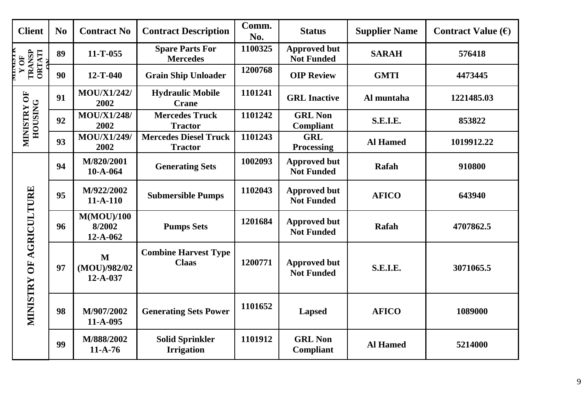| <b>Client</b>                    | N <sub>0</sub> | <b>Contract No</b>                     | <b>Contract Description</b>                    | Comm.<br>No. | <b>Status</b>                            | <b>Supplier Name</b> | Contract Value $(\epsilon)$ |
|----------------------------------|----------------|----------------------------------------|------------------------------------------------|--------------|------------------------------------------|----------------------|-----------------------------|
| WICI<br>TRANSP<br>ORTATI<br>Y OF | 89             | $11 - T - 055$                         | <b>Spare Parts For</b><br><b>Mercedes</b>      | 1100325      | <b>Approved but</b><br><b>Not Funded</b> | <b>SARAH</b>         | 576418                      |
|                                  | 90             | $12 - T - 040$                         | <b>Grain Ship Unloader</b>                     | 1200768      | <b>OIP Review</b>                        | <b>GMTI</b>          | 4473445                     |
|                                  | 91             | <b>MOU/X1/242/</b><br>2002             | <b>Hydraulic Mobile</b><br><b>Crane</b>        | 1101241      | <b>GRL</b> Inactive                      | Al muntaha           | 1221485.03                  |
| MINISTRY OF<br><b>HOUSING</b>    | 92             | <b>MOU/X1/248/</b><br>2002             | <b>Mercedes Truck</b><br><b>Tractor</b>        | 1101242      | <b>GRL Non</b><br>Compliant              | <b>S.E.I.E.</b>      | 853822                      |
|                                  | 93             | <b>MOU/X1/249/</b><br>2002             | <b>Mercedes Diesel Truck</b><br><b>Tractor</b> | 1101243      | <b>GRL</b><br><b>Processing</b>          | <b>Al Hamed</b>      | 1019912.22                  |
|                                  | 94             | M/820/2001<br>$10-A-064$               | <b>Generating Sets</b>                         | 1002093      | <b>Approved but</b><br><b>Not Funded</b> | Rafah                | 910800                      |
|                                  | 95             | M/922/2002<br>$11-A-110$               | <b>Submersible Pumps</b>                       | 1102043      | <b>Approved but</b><br><b>Not Funded</b> | <b>AFICO</b>         | 643940                      |
|                                  | 96             | M(MOU)/100<br>8/2002<br>$12 - A - 062$ | <b>Pumps Sets</b>                              | 1201684      | <b>Approved but</b><br><b>Not Funded</b> | Rafah                | 4707862.5                   |
| <b>MINISTRY OF AGRICULTURE</b>   | 97             | M<br>(MOU)/982/02<br>$12 - A - 037$    | <b>Combine Harvest Type</b><br><b>Claas</b>    | 1200771      | <b>Approved but</b><br><b>Not Funded</b> | S.E.I.E.             | 3071065.5                   |
|                                  | 98             | M/907/2002<br>11-A-095                 | <b>Generating Sets Power</b>                   | 1101652      | <b>Lapsed</b>                            | <b>AFICO</b>         | 1089000                     |
|                                  | 99             | M/888/2002<br>$11-A-76$                | <b>Solid Sprinkler</b><br><b>Irrigation</b>    | 1101912      | <b>GRL Non</b><br>Compliant              | <b>Al Hamed</b>      | 5214000                     |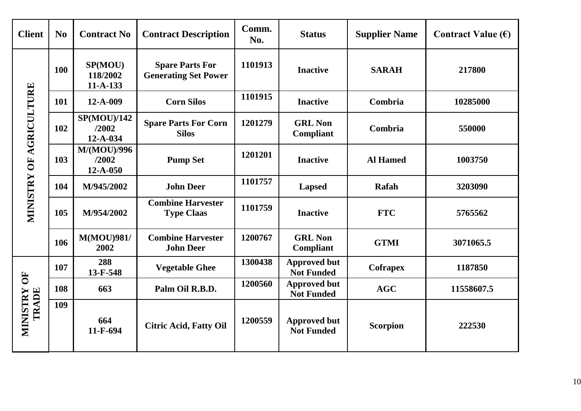| <b>Client</b>                  | N <sub>0</sub> | <b>Contract No</b>                        | <b>Contract Description</b>                           | Comm.<br>No. | <b>Status</b>                            | <b>Supplier Name</b> | Contract Value $(\epsilon)$ |
|--------------------------------|----------------|-------------------------------------------|-------------------------------------------------------|--------------|------------------------------------------|----------------------|-----------------------------|
|                                | 100            | SP(MOU)<br>118/2002<br>$11-A-133$         | <b>Spare Parts For</b><br><b>Generating Set Power</b> | 1101913      | <b>Inactive</b>                          | <b>SARAH</b>         | 217800                      |
|                                | 101            | 12-A-009                                  | <b>Corn Silos</b>                                     | 1101915      | <b>Inactive</b>                          | Combria              | 10285000                    |
| <b>MINISTRY OF AGRICULTURE</b> | 102            | <b>SP(MOU)/142</b><br>/2002<br>12-A-034   | <b>Spare Parts For Corn</b><br><b>Silos</b>           | 1201279      | <b>GRL Non</b><br>Compliant              | Combria              | 550000                      |
|                                | 103            | <b>M/(MOU)/996</b><br>/2002<br>$12-A-050$ | <b>Pump Set</b>                                       | 1201201      | <b>Inactive</b>                          | <b>Al Hamed</b>      | 1003750                     |
|                                | 104            | M/945/2002                                | <b>John Deer</b>                                      | 1101757      | <b>Lapsed</b>                            | Rafah                | 3203090                     |
|                                | 105            | M/954/2002                                | <b>Combine Harvester</b><br><b>Type Claas</b>         | 1101759      | <b>Inactive</b>                          | <b>FTC</b>           | 5765562                     |
|                                | 106            | <b>M(MOU)981/</b><br>2002                 | <b>Combine Harvester</b><br><b>John Deer</b>          | 1200767      | <b>GRL Non</b><br>Compliant              | <b>GTMI</b>          | 3071065.5                   |
|                                | 107            | 288<br>13-F-548                           | <b>Vegetable Ghee</b>                                 | 1300438      | <b>Approved but</b><br><b>Not Funded</b> | <b>Cofrapex</b>      | 1187850                     |
| 5C<br><b>MINISTRY</b><br>TRADE | 108            | 663                                       | Palm Oil R.B.D.                                       | 1200560      | <b>Approved but</b><br><b>Not Funded</b> | <b>AGC</b>           | 11558607.5                  |
|                                | 109            | 664<br>11-F-694                           | <b>Citric Acid, Fatty Oil</b>                         | 1200559      | <b>Approved but</b><br><b>Not Funded</b> | <b>Scorpion</b>      | 222530                      |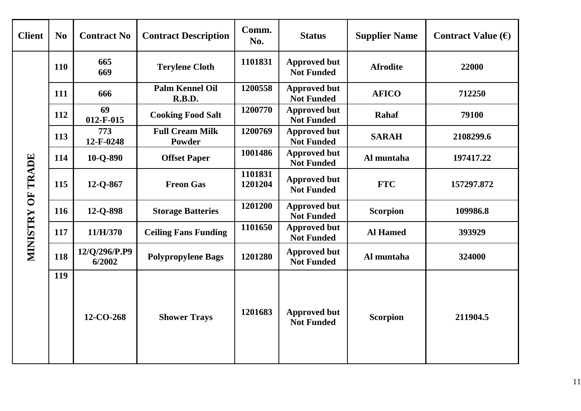| <b>Client</b>     | N <sub>0</sub> | <b>Contract No</b>      | <b>Contract Description</b>      | Comm.<br>No.       | <b>Status</b>                            | <b>Supplier Name</b> | Contract Value $(\epsilon)$ |
|-------------------|----------------|-------------------------|----------------------------------|--------------------|------------------------------------------|----------------------|-----------------------------|
|                   | <b>110</b>     | 665<br>669              | <b>Terylene Cloth</b>            | 1101831            | <b>Approved but</b><br><b>Not Funded</b> | <b>Afrodite</b>      | 22000                       |
|                   | 111            | 666                     | <b>Palm Kennel Oil</b><br>R.B.D. | 1200558            | <b>Approved but</b><br><b>Not Funded</b> | <b>AFICO</b>         | 712250                      |
|                   | 112            | 69<br>$012 - F - 015$   | <b>Cooking Food Salt</b>         | 1200770            | <b>Approved but</b><br><b>Not Funded</b> | <b>Rahaf</b>         | 79100                       |
|                   | 113            | 773<br>12-F-0248        | <b>Full Cream Milk</b><br>Powder | 1200769            | <b>Approved but</b><br><b>Not Funded</b> | <b>SARAH</b>         | 2108299.6                   |
|                   | 114            | 10-O-890                | <b>Offset Paper</b>              | 1001486            | <b>Approved but</b><br><b>Not Funded</b> | Al muntaha           | 197417.22                   |
| MINISTRY OF TRADE | 115            | 12-Q-867                | <b>Freon Gas</b>                 | 1101831<br>1201204 | <b>Approved but</b><br><b>Not Funded</b> | <b>FTC</b>           | 157297.872                  |
|                   | 116            | 12-Q-898                | <b>Storage Batteries</b>         | 1201200            | <b>Approved but</b><br><b>Not Funded</b> | <b>Scorpion</b>      | 109986.8                    |
|                   | 117            | 11/H/370                | <b>Ceiling Fans Funding</b>      | 1101650            | <b>Approved but</b><br><b>Not Funded</b> | <b>Al Hamed</b>      | 393929                      |
|                   | 118            | 12/Q/296/P.P9<br>6/2002 | <b>Polypropylene Bags</b>        | 1201280            | <b>Approved but</b><br><b>Not Funded</b> | Al muntaha           | 324000                      |
|                   | 119            | 12-CO-268               | <b>Shower Trays</b>              | 1201683            | <b>Approved but</b><br><b>Not Funded</b> | <b>Scorpion</b>      | 211904.5                    |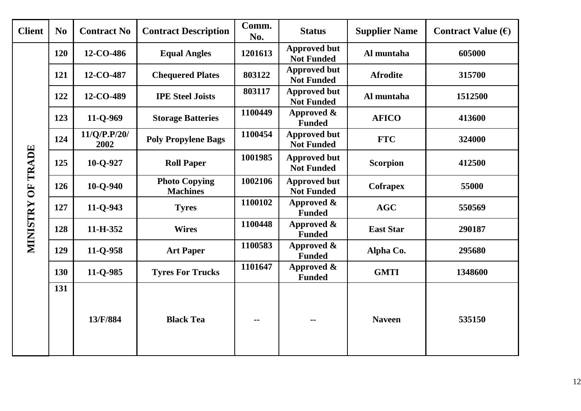| <b>Client</b>     | N <sub>0</sub> | <b>Contract No</b>   | <b>Contract Description</b>             | Comm.<br>No. | <b>Status</b>                            | <b>Supplier Name</b> | Contract Value $(\epsilon)$ |
|-------------------|----------------|----------------------|-----------------------------------------|--------------|------------------------------------------|----------------------|-----------------------------|
|                   | 120            | 12-CO-486            | <b>Equal Angles</b>                     | 1201613      | <b>Approved but</b><br><b>Not Funded</b> | Al muntaha           | 605000                      |
|                   | 121            | 12-CO-487            | <b>Chequered Plates</b>                 | 803122       | <b>Approved but</b><br><b>Not Funded</b> | <b>Afrodite</b>      | 315700                      |
|                   | 122            | 12-CO-489            | <b>IPE Steel Joists</b>                 | 803117       | <b>Approved but</b><br><b>Not Funded</b> | Al muntaha           | 1512500                     |
|                   | 123            | 11-Q-969             | <b>Storage Batteries</b>                | 1100449      | Approved $\&$<br><b>Funded</b>           | <b>AFICO</b>         | 413600                      |
|                   | 124            | 11/Q/P.P/20/<br>2002 | <b>Poly Propylene Bags</b>              | 1100454      | <b>Approved but</b><br><b>Not Funded</b> | <b>FTC</b>           | 324000                      |
| MINISTRY OF TRADE | 125            | 10-Q-927             | <b>Roll Paper</b>                       | 1001985      | <b>Approved but</b><br><b>Not Funded</b> | <b>Scorpion</b>      | 412500                      |
|                   | 126            | $10 - Q - 940$       | <b>Photo Copying</b><br><b>Machines</b> | 1002106      | <b>Approved but</b><br><b>Not Funded</b> | <b>Cofrapex</b>      | 55000                       |
|                   | 127            | $11 - Q - 943$       | <b>Tyres</b>                            | 1100102      | Approved &<br><b>Funded</b>              | <b>AGC</b>           | 550569                      |
|                   | 128            | 11-H-352             | <b>Wires</b>                            | 1100448      | Approved &<br><b>Funded</b>              | <b>East Star</b>     | 290187                      |
|                   | 129            | 11-Q-958             | <b>Art Paper</b>                        | 1100583      | Approved &<br><b>Funded</b>              | Alpha Co.            | 295680                      |
|                   | 130            | 11-Q-985             | <b>Tyres For Trucks</b>                 | 1101647      | Approved &<br><b>Funded</b>              | <b>GMTI</b>          | 1348600                     |
|                   | 131            |                      |                                         |              |                                          |                      |                             |
|                   |                | 13/F/884             | <b>Black Tea</b>                        | $-$          | ۰.                                       | <b>Naveen</b>        | 535150                      |